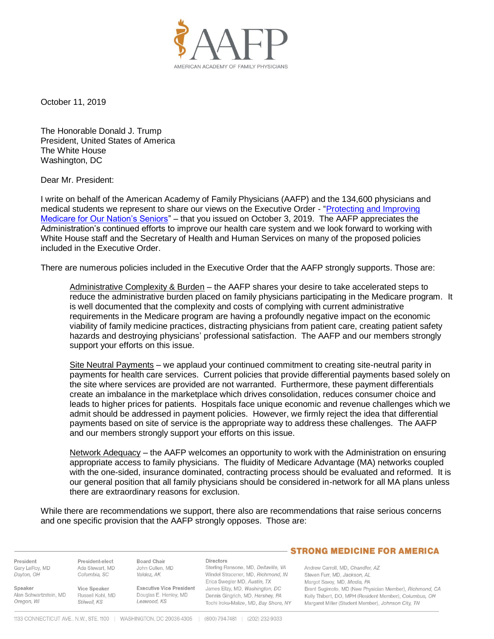

October 11, 2019

The Honorable Donald J. Trump President, United States of America The White House Washington, DC

Dear Mr. President:

I write on behalf of the American Academy of Family Physicians (AAFP) and the 134,600 physicians and medical students we represent to share our views on the Executive Order - ["Protecting and Improving](https://www.whitehouse.gov/presidential-actions/executive-order-protecting-improving-medicare-nations-seniors/)  [Medicare for Our Nation's Seniors"](https://www.whitehouse.gov/presidential-actions/executive-order-protecting-improving-medicare-nations-seniors/) – that you issued on October 3, 2019. The AAFP appreciates the Administration's continued efforts to improve our health care system and we look forward to working with White House staff and the Secretary of Health and Human Services on many of the proposed policies included in the Executive Order.

There are numerous policies included in the Executive Order that the AAFP strongly supports. Those are:

Administrative Complexity & Burden – the AAFP shares your desire to take accelerated steps to reduce the administrative burden placed on family physicians participating in the Medicare program. It is well documented that the complexity and costs of complying with current administrative requirements in the Medicare program are having a profoundly negative impact on the economic viability of family medicine practices, distracting physicians from patient care, creating patient safety hazards and destroying physicians' professional satisfaction. The AAFP and our members strongly support your efforts on this issue.

Site Neutral Payments – we applaud your continued commitment to creating site-neutral parity in payments for health care services. Current policies that provide differential payments based solely on the site where services are provided are not warranted. Furthermore, these payment differentials create an imbalance in the marketplace which drives consolidation, reduces consumer choice and leads to higher prices for patients. Hospitals face unique economic and revenue challenges which we admit should be addressed in payment policies. However, we firmly reject the idea that differential payments based on site of service is the appropriate way to address these challenges. The AAFP and our members strongly support your efforts on this issue.

Network Adequacy – the AAFP welcomes an opportunity to work with the Administration on ensuring appropriate access to family physicians. The fluidity of Medicare Advantage (MA) networks coupled with the one-sided, insurance dominated, contracting process should be evaluated and reformed. It is our general position that all family physicians should be considered in-network for all MA plans unless there are extraordinary reasons for exclusion.

While there are recommendations we support, there also are recommendations that raise serious concerns and one specific provision that the AAFP strongly opposes. Those are:

President Gary LeRoy, MD Dayton, OH

Speaker Alan Schwartzstein, MD Russell Kohl, MD Oregon, WI

President-elect Board Chair Ada Stewart MD John Cullen, MD Columbia, SC Valdez, AK

Vice Speaker

Stilwell, KS

**Executive Vice President** Douglas E. Henley, MD Leawood, KS

**Directors** Sterling Ransone, MD, Deltaville, VA Windel Stracener, MD, Richmond, IN Erica Swegler MD, Austin, TX James Ellzy, MD, Washington, DC Dennis Ginarich, MD, Hershev, PA Tochi Iroku-Malize, MD, Bay Shore, NY

## **STRONG MEDICINE FOR AMERICA**

Andrew Carroll MD Chandler AZ Steven Furr, MD, Jackson, AL Margot Savoy, MD, Media, PA Brent Sugimoto, MD (New Physician Member), Richmond, CA Kelly Thibert, DO, MPH (Resident Member), Columbus, OH Margaret Miller (Student Member), Johnson City, TN